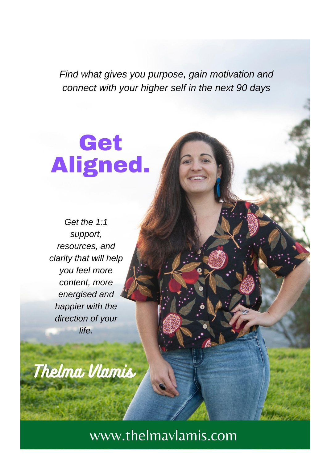Find what gives you purpose, gain motivation and connect with your higher self in the next 90 days

# Get Aligned.

Get the 1:1 support, resources, and clarity that will help you feel more content, more energised and happier with the direction of your life.

Thelma Vlamis

www.thelmavlamis.com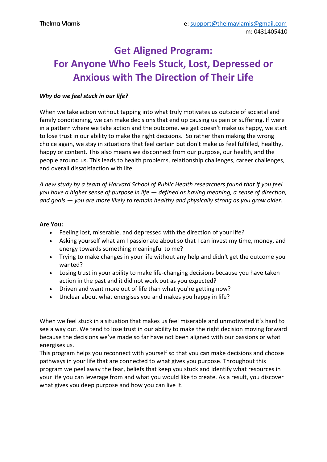## **Get Aligned Program: For Anyone Who Feels Stuck, Lost, Depressed or Anxious with The Direction of Their Life**

#### *Why do we feel stuck in our life?*

When we take action without tapping into what truly motivates us outside of societal and family conditioning, we can make decisions that end up causing us pain or suffering. If were in a pattern where we take action and the outcome, we get doesn't make us happy, we start to lose trust in our ability to make the right decisions. So rather than making the wrong choice again, we stay in situations that feel certain but don't make us feel fulfilled, healthy, happy or content. This also means we disconnect from our purpose, our health, and the people around us. This leads to health problems, relationship challenges, career challenges, and overall dissatisfaction with life.

*A new study by a team of Harvard School of Public Health researchers found that if you feel you have a higher sense of purpose in life — defined as having meaning, a sense of direction, and goals — you are more likely to remain healthy and physically strong as you grow older.*

#### **Are You:**

- Feeling lost, miserable, and depressed with the direction of your life?
- Asking yourself what am I passionate about so that I can invest my time, money, and energy towards something meaningful to me?
- Trying to make changes in your life without any help and didn't get the outcome you wanted?
- Losing trust in your ability to make life-changing decisions because you have taken action in the past and it did not work out as you expected?
- Driven and want more out of life than what you're getting now?
- Unclear about what energises you and makes you happy in life?

When we feel stuck in a situation that makes us feel miserable and unmotivated it's hard to see a way out. We tend to lose trust in our ability to make the right decision moving forward because the decisions we've made so far have not been aligned with our passions or what energises us.

This program helps you reconnect with yourself so that you can make decisions and choose pathways in your life that are connected to what gives you purpose. Throughout this program we peel away the fear, beliefs that keep you stuck and identify what resources in your life you can leverage from and what you would like to create. As a result, you discover what gives you deep purpose and how you can live it.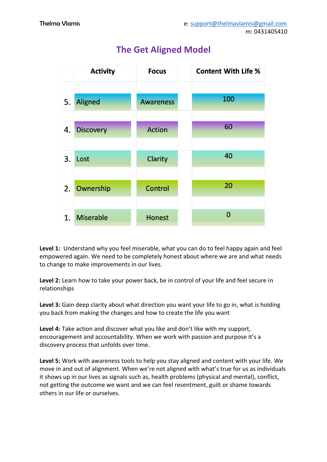

## **The Get Aligned Model**

**Level 1:** Understand why you feel miserable, what you can do to feel happy again and feel empowered again. We need to be completely honest about where we are and what needs to change to make improvements in our lives.

**Level 2:** Learn how to take your power back, be in control of your life and feel secure in relationships

**Level 3:** Gain deep clarity about what direction you want your life to go in, what is holding you back from making the changes and how to create the life you want

**Level 4:** Take action and discover what you like and don't like with my support, encouragement and accountability. When we work with passion and purpose it's a discovery process that unfolds over time.

**Level 5:** Work with awareness tools to help you stay aligned and content with your life. We move in and out of alignment. When we're not aligned with what's true for us as individuals it shows up in our lives as signals such as, health problems (physical and mental), conflict, not getting the outcome we want and we can feel resentment, guilt or shame towards others in our life or ourselves.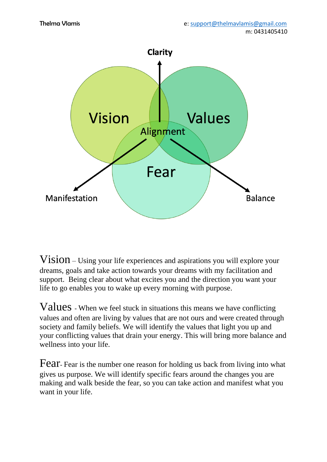

Vision – Using your life experiences and aspirations you will explore your dreams, goals and take action towards your dreams with my facilitation and support. Being clear about what excites you and the direction you want your life to go enables you to wake up every morning with purpose.

Values - When we feel stuck in situations this means we have conflicting values and often are living by values that are not ours and were created through society and family beliefs. We will identify the values that light you up and your conflicting values that drain your energy. This will bring more balance and wellness into your life.

Fear- Fear is the number one reason for holding us back from living into what gives us purpose. We will identify specific fears around the changes you are making and walk beside the fear, so you can take action and manifest what you want in your life.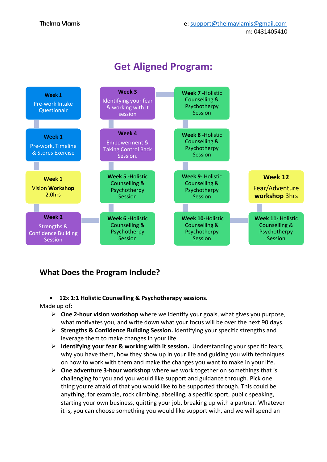

### **Get Aligned Program:**

#### **What Does the Program Include?**

#### • **12x 1:1 Holistic Counselling & Psychotherapy sessions.**

#### Made up of:

- ➢ **One 2-hour vision workshop** where we identify your goals, what gives you purpose, what motivates you, and write down what your focus will be over the next 90 days.
- ➢ **Strengths & Confidence Building Session.** Identifying your specific strengths and leverage them to make changes in your life.
- ➢ **Identifying your fear & working with it session.** Understanding your specific fears, why you have them, how they show up in your life and guiding you with techniques on how to work with them and make the changes you want to make in your life.
- ➢ **One adventure 3-hour workshop** where we work together on somethings that is challenging for you and you would like support and guidance through. Pick one thing you're afraid of that you would like to be supported through. This could be anything, for example, rock climbing, abseiling, a specific sport, public speaking, starting your own business, quitting your job, breaking up with a partner. Whatever it is, you can choose something you would like support with, and we will spend an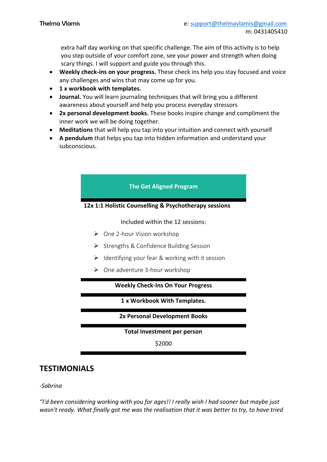extra half day working on that specific challenge. The aim of this activity is to help you step outside of your comfort zone, see your power and strength when doing scary things. I will support and guide you through this.

- **Weekly check-ins on your progress.** These check ins help you stay focused and voice any challenges and wins that may come up for you.
- **1 x workbook with templates.**
- **Journal.** You will learn journaling techniques that will bring you a different awareness about yourself and help you process everyday stressors
- **2x personal development books.** These books inspire change and compliment the inner work we will be doing together.
- **Meditations** that will help you tap into your intuition and connect with yourself
- **A pendulum** that helps you tap into hidden information and understand your subconscious.



#### *-Sabrina*

*"I'd been considering working with you for ages!! I really wish I had sooner but maybe just wasn't ready. What finally got me was the realisation that it was better to try, to have tried*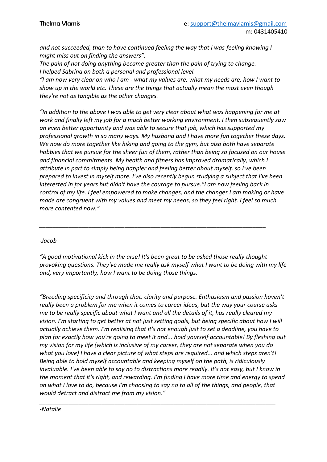*and not succeeded, than to have continued feeling the way that I was feeling knowing I might miss out on finding the answers".*

*The pain of not doing anything became greater than the pain of trying to change. I helped Sabrina on both a personal and professional level.*

*"I am now very clear on who I am - what my values are, what my needs are, how I want to show up in the world etc. These are the things that actually mean the most even though they're not as tangible as the other changes.*

*"In addition to the above I was able to get very clear about what was happening for me at work and finally left my job for a much better working environment. I then subsequently saw an even better opportunity and was able to secure that job, which has supported my professional growth in so many ways. My husband and I have more fun together these days. We now do more together like hiking and going to the gym, but also both have separate hobbies that we pursue for the sheer fun of them, rather than being so focused on our house and financial commitments. My health and fitness has improved dramatically, which I attribute in part to simply being happier and feeling better about myself, so I've been prepared to invest in myself more. I've also recently begun studying a subject that I've been interested in for years but didn't have the courage to pursue."I am now feeling back in control of my life. I feel empowered to make changes, and the changes I am making or have made are congruent with my values and meet my needs, so they feel right. I feel so much more contented now."*

#### *-Jacob*

*"A good motivational kick in the arse! It's been great to be asked those really thought provoking questions. They've made me really ask myself what I want to be doing with my life and, very importantly, how I want to be doing those things.*

*\_\_\_\_\_\_\_\_\_\_\_\_\_\_\_\_\_\_\_\_\_\_\_\_\_\_\_\_\_\_\_\_\_\_\_\_\_\_\_\_\_\_\_\_\_\_\_\_\_\_\_\_\_\_\_\_\_\_\_\_\_\_\_\_\_\_\_\_\_*

*"Breeding specificity and through that, clarity and purpose. Enthusiasm and passion haven't really been a problem for me when it comes to career ideas, but the way your course asks me to be really specific about what I want and all the details of it, has really cleared my vision. I'm starting to get better at not just setting goals, but being specific about how I will actually achieve them. I'm realising that it's not enough just to set a deadline, you have to plan for exactly how you're going to meet it and... hold yourself accountable! By fleshing out my vision for my life (which is inclusive of my career, they are not separate when you do what you love) I have a clear picture of what steps are required... and which steps aren't! Being able to hold myself accountable and keeping myself on the path, is ridiculously invaluable. I've been able to say no to distractions more readily. It's not easy, but I know in the moment that it's right, and rewarding. I'm finding I have more time and energy to spend on what I love to do, because I'm choosing to say no to all of the things, and people, that would detract and distract me from my vision."*

*\_\_\_\_\_\_\_\_\_\_\_\_\_\_\_\_\_\_\_\_\_\_\_\_\_\_\_\_\_\_\_\_\_\_\_\_\_\_\_\_\_\_\_\_\_\_\_\_\_\_\_\_\_\_\_\_\_\_\_\_\_\_\_\_\_\_\_\_\_\_\_\_*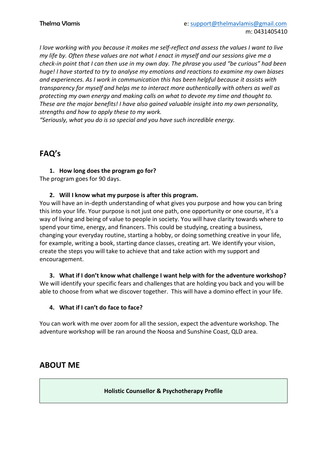*I love working with you because it makes me self-reflect and assess the values I want to live my life by. Often these values are not what I enact in myself and our sessions give me a check-in point that I can then use in my own day. The phrase you used "be curious" had been huge! I have started to try to analyse my emotions and reactions to examine my own biases and experiences. As I work in communication this has been helpful because it assists with transparency for myself and helps me to interact more authentically with others as well as protecting my own energy and making calls on what to devote my time and thought to. These are the major benefits! I have also gained valuable insight into my own personality, strengths and how to apply these to my work.*

*"Seriously, what you do is so special and you have such incredible energy.*

#### **FAQ's**

**1. How long does the program go for?** The program goes for 90 days.

#### **2. Will I know what my purpose is after this program.**

You will have an in-depth understanding of what gives you purpose and how you can bring this into your life. Your purpose is not just one path, one opportunity or one course, it's a way of living and being of value to people in society. You will have clarity towards where to spend your time, energy, and financers. This could be studying, creating a business, changing your everyday routine, starting a hobby, or doing something creative in your life, for example, writing a book, starting dance classes, creating art. We identify your vision, create the steps you will take to achieve that and take action with my support and encouragement.

**3. What if I don't know what challenge I want help with for the adventure workshop?** We will identify your specific fears and challenges that are holding you back and you will be able to choose from what we discover together. This will have a domino effect in your life.

#### **4. What if I can't do face to face?**

You can work with me over zoom for all the session, expect the adventure workshop. The adventure workshop will be ran around the Noosa and Sunshine Coast, QLD area.

#### **ABOUT ME**

**Holistic Counsellor & Psychotherapy Profile**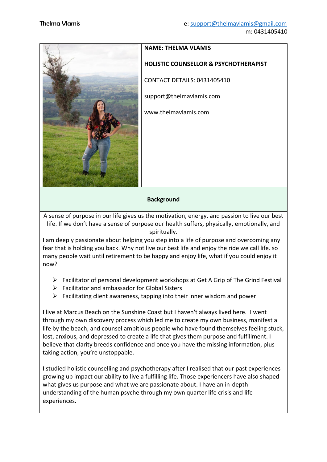

## **NAME: THELMA VLAMIS HOLISTIC COUNSELLOR & PSYCHOTHERAPIST**  CONTACT DETAILS: 0431405410 support@thelmavlamis.com www.thelmavlamis.com

#### **Background**

A sense of purpose in our life gives us the motivation, energy, and passion to live our best life. If we don't have a sense of purpose our health suffers, physically, emotionally, and spiritually.

I am deeply passionate about helping you step into a life of purpose and overcoming any fear that is holding you back. Why not live our best life and enjoy the ride we call life. so many people wait until retirement to be happy and enjoy life, what if you could enjoy it now?

- $\triangleright$  Facilitator of personal development workshops at Get A Grip of The Grind Festival
- $\triangleright$  Facilitator and ambassador for Global Sisters
- $\triangleright$  Facilitating client awareness, tapping into their inner wisdom and power

I live at Marcus Beach on the Sunshine Coast but I haven't always lived here. I went through my own discovery process which led me to create my own business, manifest a life by the beach, and counsel ambitious people who have found themselves feeling stuck, lost, anxious, and depressed to create a life that gives them purpose and fulfillment. I believe that clarity breeds confidence and once you have the missing information, plus taking action, you're unstoppable.

I studied holistic counselling and psychotherapy after I realised that our past experiences growing up impact our ability to live a fulfilling life. Those experiencers have also shaped what gives us purpose and what we are passionate about. I have an in-depth understanding of the human psyche through my own quarter life crisis and life experiences.